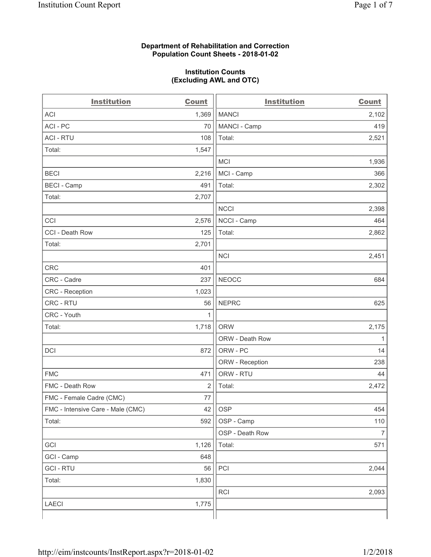### **Department of Rehabilitation and Correction Population Count Sheets - 2018-01-02**

#### **Institution Counts (Excluding AWL and OTC)**

| <b>Institution</b>                | <b>Count</b> | <b>Institution</b> | <b>Count</b>   |
|-----------------------------------|--------------|--------------------|----------------|
| <b>ACI</b>                        | 1,369        | <b>MANCI</b>       | 2,102          |
| ACI-PC                            | 70           | MANCI - Camp       | 419            |
| <b>ACI - RTU</b>                  | 108          | Total:             | 2,521          |
| Total:                            | 1,547        |                    |                |
|                                   |              | <b>MCI</b>         | 1,936          |
| <b>BECI</b>                       | 2,216        | MCI - Camp         | 366            |
| <b>BECI - Camp</b>                | 491          | Total:             | 2,302          |
| Total:                            | 2,707        |                    |                |
|                                   |              | <b>NCCI</b>        | 2,398          |
| CCI                               | 2,576        | NCCI - Camp        | 464            |
| CCI - Death Row                   | 125          | Total:             | 2,862          |
| Total:                            | 2,701        |                    |                |
|                                   |              | <b>NCI</b>         | 2,451          |
| <b>CRC</b>                        | 401          |                    |                |
| CRC - Cadre                       | 237          | <b>NEOCC</b>       | 684            |
| CRC - Reception                   | 1,023        |                    |                |
| CRC - RTU                         | 56           | <b>NEPRC</b>       | 625            |
| CRC - Youth                       | 1            |                    |                |
| Total:                            | 1,718        | <b>ORW</b>         | 2,175          |
|                                   |              | ORW - Death Row    | 1              |
| DCI                               | 872          | ORW - PC           | 14             |
|                                   |              | ORW - Reception    | 238            |
| <b>FMC</b>                        | 471          | ORW - RTU          | 44             |
| FMC - Death Row                   | 2            | Total:             | 2,472          |
| FMC - Female Cadre (CMC)          | 77           |                    |                |
| FMC - Intensive Care - Male (CMC) | 42           | OSP                | 454            |
| Total:                            | 592          | OSP - Camp         | 110            |
|                                   |              | OSP - Death Row    | $\overline{7}$ |
| GCI                               | 1,126        | Total:             | 571            |
| GCI - Camp                        | 648          |                    |                |
| <b>GCI-RTU</b>                    | 56           | PCI                | 2,044          |
| Total:                            | 1,830        |                    |                |
|                                   |              | RCI                | 2,093          |
| <b>LAECI</b>                      | 1,775        |                    |                |
|                                   |              |                    |                |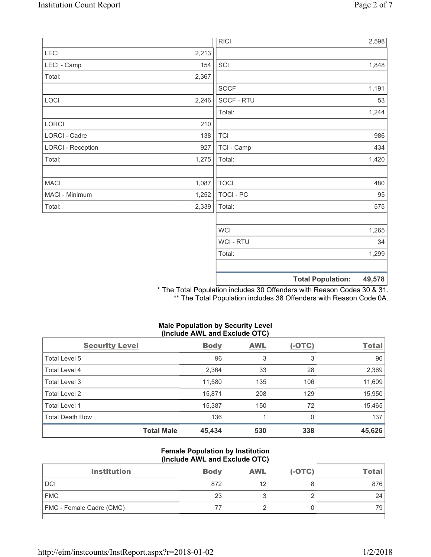|                          |       | <b>RICI</b> | 2,598                              |
|--------------------------|-------|-------------|------------------------------------|
| LECI                     | 2,213 |             |                                    |
| LECI - Camp              | 154   | SCI         | 1,848                              |
| Total:                   | 2,367 |             |                                    |
|                          |       | <b>SOCF</b> | 1,191                              |
| LOCI                     | 2,246 | SOCF - RTU  | 53                                 |
|                          |       | Total:      | 1,244                              |
| LORCI                    | 210   |             |                                    |
| LORCI - Cadre            | 138   | <b>TCI</b>  | 986                                |
| <b>LORCI - Reception</b> | 927   | TCI - Camp  | 434                                |
| Total:                   | 1,275 | Total:      | 1,420                              |
|                          |       |             |                                    |
| <b>MACI</b>              | 1,087 | <b>TOCI</b> | 480                                |
| MACI - Minimum           | 1,252 | TOCI - PC   | 95                                 |
| Total:                   | 2,339 | Total:      | 575                                |
|                          |       |             |                                    |
|                          |       | <b>WCI</b>  | 1,265                              |
|                          |       | WCI - RTU   | 34                                 |
|                          |       | Total:      | 1,299                              |
|                          |       |             |                                    |
|                          |       |             | <b>Total Population:</b><br>49,578 |

\* The Total Population includes 30 Offenders with Reason Codes 30 & 31. \*\* The Total Population includes 38 Offenders with Reason Code 0A.

# **Male Population by Security Level (Include AWL and Exclude OTC)**

| <b>Security Level</b>  |                   | <b>Body</b> | <b>AWL</b> | $(-OTC)$ | <b>Total</b> |
|------------------------|-------------------|-------------|------------|----------|--------------|
| Total Level 5          |                   | 96          | 3          | 3        | 96           |
| <b>Total Level 4</b>   |                   | 2,364       | 33         | 28       | 2,369        |
| Total Level 3          |                   | 11,580      | 135        | 106      | 11,609       |
| Total Level 2          |                   | 15,871      | 208        | 129      | 15,950       |
| Total Level 1          |                   | 15,387      | 150        | 72       | 15,465       |
| <b>Total Death Row</b> |                   | 136         |            | 0        | 137          |
|                        | <b>Total Male</b> | 45,434      | 530        | 338      | 45,626       |

### **Female Population by Institution (Include AWL and Exclude OTC)**

| <b>Institution</b>       | <b>Body</b> | <b>AWL</b> | $(-OTC)$ | Tota |
|--------------------------|-------------|------------|----------|------|
| <b>DCI</b>               | 872         |            |          | 876  |
| <b>FMC</b>               | 23          |            |          | 24   |
| FMC - Female Cadre (CMC) |             |            |          | 79   |
|                          |             |            |          |      |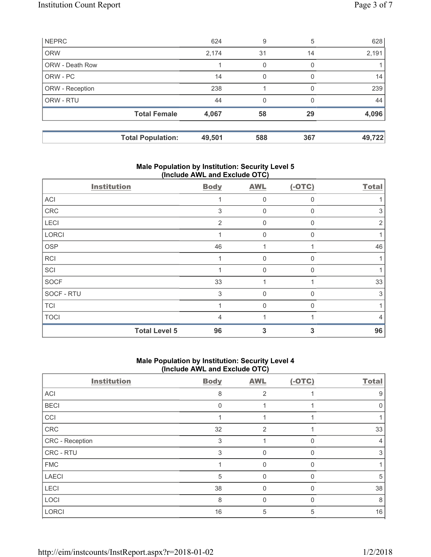|                        | <b>Total Population:</b> | 49,501 | 588 | 367      | 49,722 |
|------------------------|--------------------------|--------|-----|----------|--------|
|                        | <b>Total Female</b>      | 4,067  | 58  | 29       | 4,096  |
| ORW - RTU              |                          | 44     | 0   |          | 44     |
| ORW - Reception        |                          | 238    |     |          | 239    |
| ORW - PC               |                          | 14     | 0   | $\Omega$ | 14     |
| <b>ORW - Death Row</b> |                          |        | 0   | 0        |        |
| <b>ORW</b>             |                          | 2,174  | 31  | 14       | 2,191  |
| <b>NEPRC</b>           |                          | 624    | 9   | 5        | 628    |

# **Male Population by Institution: Security Level 5 (Include AWL and Exclude OTC)**

| <b>Institution</b>   | <b>Body</b> | <b>AWL</b>  | $(-OTC)$     | <b>Total</b> |
|----------------------|-------------|-------------|--------------|--------------|
| ACI                  |             | $\Omega$    | $\Omega$     |              |
| CRC                  | 3           | 0           | $\Omega$     | 3            |
| LECI                 | 2           | 0           | $\mathbf{0}$ | 2            |
| LORCI                |             | $\mathbf 0$ | $\Omega$     |              |
| <b>OSP</b>           | 46          |             |              | 46           |
| <b>RCI</b>           |             | $\Omega$    | $\Omega$     |              |
| SCI                  |             | $\Omega$    | $\Omega$     |              |
| <b>SOCF</b>          | 33          |             |              | 33           |
| SOCF - RTU           | 3           | $\mathbf 0$ | $\Omega$     | 3            |
| <b>TCI</b>           |             | $\Omega$    | $\Omega$     |              |
| <b>TOCI</b>          | 4           |             |              | 4            |
| <b>Total Level 5</b> | 96          | 3           | 3            | 96           |

# **Male Population by Institution: Security Level 4 (Include AWL and Exclude OTC)**

| <b>Institution</b> | <b>Body</b> | <b>AWL</b>     | $(-OTC)$     | <b>Total</b> |
|--------------------|-------------|----------------|--------------|--------------|
| ACI                | 8           | 2              |              | 9            |
| <b>BECI</b>        | $\Omega$    |                |              | $\Omega$     |
| CCI                |             |                |              |              |
| CRC                | 32          | $\overline{2}$ |              | 33           |
| CRC - Reception    | 3           |                |              | 4            |
| CRC - RTU          | 3           | 0              |              | 3            |
| <b>FMC</b>         |             | 0              |              |              |
| <b>LAECI</b>       | 5           | 0              | 0            | 5            |
| <b>LECI</b>        | 38          | $\mathbf{0}$   | 0            | 38           |
| LOCI               | 8           | 0              | <sup>0</sup> | 8            |
| LORCI              | 16          | 5              | 5            | 16           |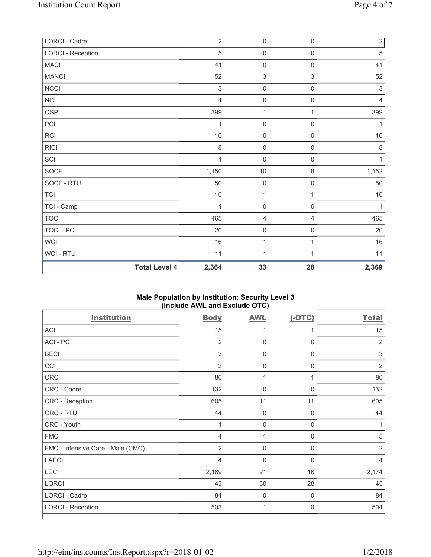| LORCI - Cadre     |                      | $\overline{2}$ | $\mathsf{O}\xspace$ | $\mathsf{O}\xspace$       | $2\vert$       |
|-------------------|----------------------|----------------|---------------------|---------------------------|----------------|
| LORCI - Reception |                      | 5              | $\mathsf{O}\xspace$ | $\mathsf{O}\xspace$       | $\sqrt{5}$     |
| <b>MACI</b>       |                      | 41             | $\mathsf{O}\xspace$ | $\mathsf{O}\xspace$       | 41             |
| <b>MANCI</b>      |                      | 52             | $\sqrt{3}$          | $\ensuremath{\mathsf{3}}$ | 52             |
| <b>NCCI</b>       |                      | $\sqrt{3}$     | $\mathsf{O}\xspace$ | $\mathsf{O}\xspace$       | $\sqrt{3}$     |
| NCI               |                      | $\overline{4}$ | $\mathsf{O}\xspace$ | $\mathsf 0$               | $\overline{4}$ |
| <b>OSP</b>        |                      | 399            | 1                   | 1                         | 399            |
| PCI               |                      | 1              | $\mathsf{O}\xspace$ | $\boldsymbol{0}$          | 1              |
| <b>RCI</b>        |                      | $10$           | $\mathsf{O}\xspace$ | $\mathsf{O}\xspace$       | $10$           |
| <b>RICI</b>       |                      | 8              | $\mathsf{O}\xspace$ | $\mathsf{O}\xspace$       | $\,8\,$        |
| SCI               |                      | 1              | $\mathsf{O}\xspace$ | $\mathsf{O}\xspace$       | 1              |
| <b>SOCF</b>       |                      | 1,150          | $10$                | $\,8\,$                   | 1,152          |
| SOCF - RTU        |                      | 50             | $\mathsf 0$         | $\mathsf{O}\xspace$       | 50             |
| <b>TCI</b>        |                      | $10$           | 1                   | 1                         | $10$           |
| TCI - Camp        |                      |                | $\mathbf 0$         | $\boldsymbol{0}$          | 1              |
| <b>TOCI</b>       |                      | 465            | 4                   | $\overline{4}$            | 465            |
| <b>TOCI - PC</b>  |                      | 20             | $\mathsf{O}\xspace$ | $\boldsymbol{0}$          | 20             |
| WCI               |                      | 16             | $\mathbf 1$         | 1                         | 16             |
| WCI - RTU         |                      | 11             | 1                   | $\mathbf{1}$              | 11             |
|                   | <b>Total Level 4</b> | 2,364          | 33                  | 28                        | 2,369          |

### **Male Population by Institution: Security Level 3 (Include AWL and Exclude OTC)**

| <b>Institution</b>                | <b>Body</b>               | <b>AWL</b>          | $(-OTC)$    | <b>Total</b>   |
|-----------------------------------|---------------------------|---------------------|-------------|----------------|
| <b>ACI</b>                        | 15                        | 1                   | 1           | 15             |
| ACI - PC                          | $\overline{2}$            | $\pmb{0}$           | $\mathbf 0$ | $\overline{2}$ |
| <b>BECI</b>                       | $\ensuremath{\mathsf{3}}$ | $\mathsf{0}$        | $\mathbf 0$ | 3              |
| CCI                               | $\overline{2}$            | $\mathsf{O}\xspace$ | $\mathbf 0$ | $\overline{2}$ |
| <b>CRC</b>                        | 80                        | 1                   | 1           | 80             |
| CRC - Cadre                       | 132                       | $\mathbf 0$         | $\mathbf 0$ | 132            |
| CRC - Reception                   | 605                       | 11                  | 11          | 605            |
| CRC - RTU                         | 44                        | $\mathbf 0$         | $\mathbf 0$ | 44             |
| CRC - Youth                       | $\mathbf{1}$              | $\mathbf 0$         | $\mathbf 0$ | 1              |
| <b>FMC</b>                        | 4                         | 1                   | 0           | 5              |
| FMC - Intensive Care - Male (CMC) | $\overline{2}$            | $\mathbf 0$         | $\mathbf 0$ | $\overline{2}$ |
| <b>LAECI</b>                      | 4                         | $\mathbf 0$         | $\mathbf 0$ | 4              |
| LECI                              | 2,169                     | 21                  | 16          | 2,174          |
| <b>LORCI</b>                      | 43                        | 30                  | 28          | 45             |
| LORCI - Cadre                     | 84                        | $\mathbf 0$         | $\mathbf 0$ | 84             |
| <b>LORCI - Reception</b>          | 503                       | 1                   | $\mathbf 0$ | 504            |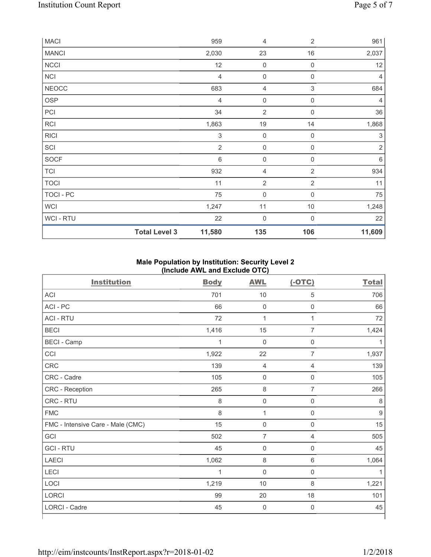| MACI         |                      | 959            | 4                   | $\overline{2}$ | 961                       |
|--------------|----------------------|----------------|---------------------|----------------|---------------------------|
| <b>MANCI</b> |                      | 2,030          | 23                  | 16             | 2,037                     |
| NCCI         |                      | 12             | $\mathbf 0$         | $\mathbf 0$    | 12                        |
| <b>NCI</b>   |                      | 4              | 0                   | $\mathbf 0$    | 4                         |
| <b>NEOCC</b> |                      | 683            | 4                   | 3              | 684                       |
| <b>OSP</b>   |                      | $\overline{4}$ | $\mathsf{O}\xspace$ | $\mathbf 0$    | 4                         |
| PCI          |                      | 34             | $\overline{2}$      | $\mathbf 0$    | 36                        |
| RCI          |                      | 1,863          | 19                  | 14             | 1,868                     |
| <b>RICI</b>  |                      | $\mathsf 3$    | $\mathbf 0$         | $\mathbf 0$    | $\ensuremath{\mathsf{3}}$ |
| SCI          |                      | $\overline{2}$ | 0                   | $\mathbf 0$    | $\overline{2}$            |
| SOCF         |                      | $\,6\,$        | $\mathbf 0$         | $\mathbf 0$    | $\,6\,$                   |
| <b>TCI</b>   |                      | 932            | 4                   | $\sqrt{2}$     | 934                       |
| <b>TOCI</b>  |                      | 11             | $\overline{2}$      | $\overline{2}$ | 11                        |
| TOCI - PC    |                      | 75             | $\mathbf 0$         | $\mathbf 0$    | 75                        |
| WCI          |                      | 1,247          | 11                  | 10             | 1,248                     |
| WCI - RTU    |                      | 22             | $\mathbf 0$         | $\mathbf 0$    | 22                        |
|              | <b>Total Level 3</b> | 11,580         | 135                 | 106            | 11,609                    |

## **Male Population by Institution: Security Level 2 (Include AWL and Exclude OTC)**

| <b>Institution</b>                | <b>Body</b>  | <b>AWL</b>          | $(-OTC)$            | <b>Total</b>     |
|-----------------------------------|--------------|---------------------|---------------------|------------------|
| <b>ACI</b>                        | 701          | 10                  | 5                   | 706              |
| ACI - PC                          | 66           | $\mathbf 0$         | $\mathsf{O}\xspace$ | 66               |
| <b>ACI - RTU</b>                  | 72           | 1                   | $\mathbf{1}$        | 72               |
| <b>BECI</b>                       | 1,416        | 15                  | 7                   | 1,424            |
| <b>BECI - Camp</b>                | $\mathbf{1}$ | $\mathbf 0$         | $\boldsymbol{0}$    | 1                |
| CCI                               | 1,922        | 22                  | $\overline{7}$      | 1,937            |
| CRC                               | 139          | $\overline{4}$      | $\overline{4}$      | 139              |
| CRC - Cadre                       | 105          | $\mathsf 0$         | $\mathsf{O}\xspace$ | 105              |
| CRC - Reception                   | 265          | $\,8\,$             | 7                   | 266              |
| CRC - RTU                         | 8            | $\mathbf 0$         | $\boldsymbol{0}$    | 8                |
| <b>FMC</b>                        | 8            | $\mathbf 1$         | $\mathsf{O}\xspace$ | $\boldsymbol{9}$ |
| FMC - Intensive Care - Male (CMC) | 15           | $\mathsf{O}\xspace$ | $\mathsf{O}\xspace$ | 15               |
| GCI                               | 502          | $\overline{7}$      | $\overline{4}$      | 505              |
| <b>GCI-RTU</b>                    | 45           | $\mathsf 0$         | $\mathsf{O}\xspace$ | 45               |
| <b>LAECI</b>                      | 1,062        | $\,8\,$             | 6                   | 1,064            |
| LECI                              | 1            | $\mathbf 0$         | $\mathsf{O}\xspace$ | 1                |
| LOCI                              | 1,219        | 10                  | 8                   | 1,221            |
| LORCI                             | 99           | 20                  | 18                  | 101              |
| LORCI - Cadre                     | 45           | $\mathbf 0$         | $\mathsf{O}\xspace$ | 45               |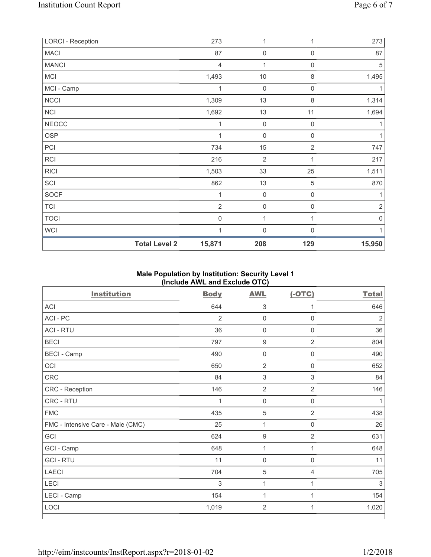| <b>LORCI - Reception</b> | 273                            | 1                   | 1                | 273            |
|--------------------------|--------------------------------|---------------------|------------------|----------------|
| <b>MACI</b>              | 87                             | $\mathsf{O}\xspace$ | 0                | 87             |
| <b>MANCI</b>             | 4                              | 1                   | $\mathbf 0$      | 5              |
| <b>MCI</b>               | 1,493                          | $10$                | 8                | 1,495          |
| MCI - Camp               | 1                              | $\mathsf{O}\xspace$ | $\mathbf 0$      |                |
| <b>NCCI</b>              | 1,309                          | 13                  | 8                | 1,314          |
| NCI                      | 1,692                          | 13                  | 11               | 1,694          |
| <b>NEOCC</b>             | $\mathbf 1$                    | $\mathbf 0$         | $\mathbf 0$      |                |
| <b>OSP</b>               | 1                              | $\mathsf{O}\xspace$ | $\boldsymbol{0}$ |                |
| PCI                      | 734                            | 15                  | $\overline{2}$   | 747            |
| RCI                      | 216                            | $\overline{2}$      | 1                | 217            |
| <b>RICI</b>              | 1,503                          | 33                  | 25               | 1,511          |
| SCI                      | 862                            | 13                  | 5                | 870            |
| SOCF                     | $\mathbf 1$                    | $\mathsf{O}\xspace$ | $\mathbf 0$      |                |
| <b>TCI</b>               | $\overline{2}$                 | $\mathsf{O}\xspace$ | $\mathbf 0$      | $\overline{2}$ |
| <b>TOCI</b>              | $\mathsf{O}\xspace$            | 1                   | 1                | 0              |
| WCI                      | $\mathbf 1$                    | $\mathsf{O}\xspace$ | $\mathbf 0$      |                |
|                          | <b>Total Level 2</b><br>15,871 | 208                 | 129              | 15,950         |

### **Male Population by Institution: Security Level 1 (Include AWL and Exclude OTC)**

| <b>Institution</b>                | <b>Body</b>    | $\cdot$ - $\prime$<br><b>AWL</b> | $(-OTC)$            | <b>Total</b>   |
|-----------------------------------|----------------|----------------------------------|---------------------|----------------|
| <b>ACI</b>                        | 644            | 3                                | 1                   | 646            |
| ACI - PC                          | $\overline{2}$ | $\mathsf 0$                      | $\mathbf 0$         | $\overline{2}$ |
| <b>ACI - RTU</b>                  | 36             | $\mathsf{O}\xspace$              | $\mathbf 0$         | 36             |
| <b>BECI</b>                       | 797            | 9                                | $\overline{2}$      | 804            |
| <b>BECI</b> - Camp                | 490            | $\mathsf{O}\xspace$              | $\mathsf{O}\xspace$ | 490            |
| CCI                               | 650            | $\overline{2}$                   | $\mathbf 0$         | 652            |
| CRC                               | 84             | 3                                | 3                   | 84             |
| CRC - Reception                   | 146            | $\overline{2}$                   | $\overline{2}$      | 146            |
| CRC - RTU                         | 1              | 0                                | $\mathbf 0$         | 1              |
| <b>FMC</b>                        | 435            | 5                                | $\overline{2}$      | 438            |
| FMC - Intensive Care - Male (CMC) | 25             | 1                                | $\mathbf 0$         | 26             |
| GCI                               | 624            | 9                                | $\overline{2}$      | 631            |
| GCI - Camp                        | 648            | 1                                | 1                   | 648            |
| <b>GCI - RTU</b>                  | 11             | $\mathsf 0$                      | $\mathbf 0$         | 11             |
| <b>LAECI</b>                      | 704            | 5                                | 4                   | 705            |
| LECI                              | 3              | 1                                | 1                   | 3              |
| LECI - Camp                       | 154            | 1                                | 1                   | 154            |
| LOCI                              | 1,019          | $\overline{2}$                   | 1                   | 1,020          |